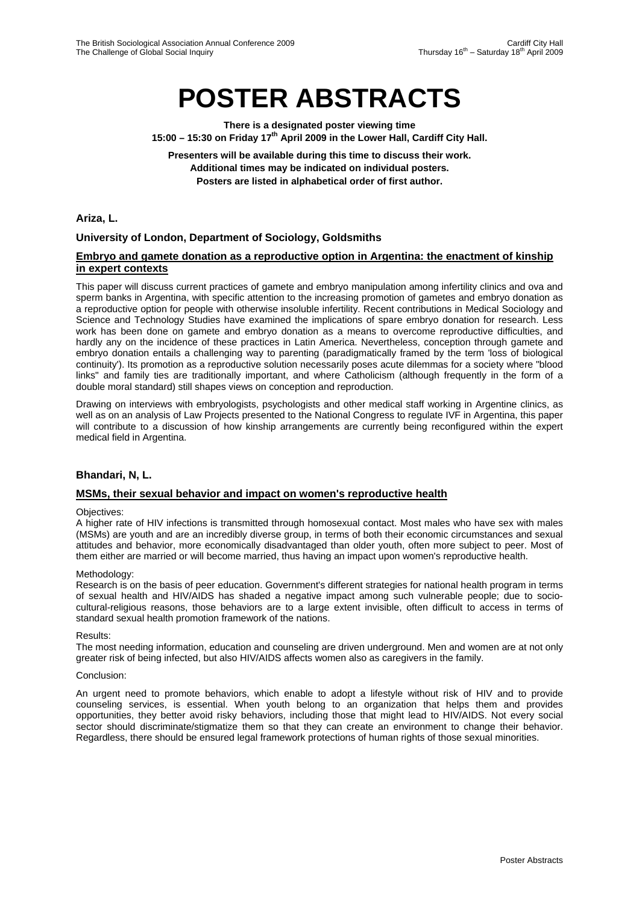# **POSTER ABSTRACTS**

**There is a designated poster viewing time**  15:00 - 15:30 on Friday 17<sup>th</sup> April 2009 in the Lower Hall, Cardiff City Hall.

**Presenters will be available during this time to discuss their work. Additional times may be indicated on individual posters. Posters are listed in alphabetical order of first author.** 

**Ariza, L.**

# **University of London, Department of Sociology, Goldsmiths**

## **Embryo and gamete donation as a reproductive option in Argentina: the enactment of kinship in expert contexts**

This paper will discuss current practices of gamete and embryo manipulation among infertility clinics and ova and sperm banks in Argentina, with specific attention to the increasing promotion of gametes and embryo donation as a reproductive option for people with otherwise insoluble infertility. Recent contributions in Medical Sociology and Science and Technology Studies have examined the implications of spare embryo donation for research. Less work has been done on gamete and embryo donation as a means to overcome reproductive difficulties, and hardly any on the incidence of these practices in Latin America. Nevertheless, conception through gamete and embryo donation entails a challenging way to parenting (paradigmatically framed by the term 'loss of biological continuity'). Its promotion as a reproductive solution necessarily poses acute dilemmas for a society where "blood links" and family ties are traditionally important, and where Catholicism (although frequently in the form of a double moral standard) still shapes views on conception and reproduction.

Drawing on interviews with embryologists, psychologists and other medical staff working in Argentine clinics, as well as on an analysis of Law Projects presented to the National Congress to regulate IVF in Argentina, this paper will contribute to a discussion of how kinship arrangements are currently being reconfigured within the expert medical field in Argentina.

## **Bhandari, N, L.**

## **MSMs, their sexual behavior and impact on women's reproductive health**

## Objectives:

A higher rate of HIV infections is transmitted through homosexual contact. Most males who have sex with males (MSMs) are youth and are an incredibly diverse group, in terms of both their economic circumstances and sexual attitudes and behavior, more economically disadvantaged than older youth, often more subject to peer. Most of them either are married or will become married, thus having an impact upon women's reproductive health.

#### Methodology:

Research is on the basis of peer education. Government's different strategies for national health program in terms of sexual health and HIV/AIDS has shaded a negative impact among such vulnerable people; due to sociocultural-religious reasons, those behaviors are to a large extent invisible, often difficult to access in terms of standard sexual health promotion framework of the nations.

#### Results:

The most needing information, education and counseling are driven underground. Men and women are at not only greater risk of being infected, but also HIV/AIDS affects women also as caregivers in the family.

#### Conclusion:

An urgent need to promote behaviors, which enable to adopt a lifestyle without risk of HIV and to provide counseling services, is essential. When youth belong to an organization that helps them and provides opportunities, they better avoid risky behaviors, including those that might lead to HIV/AIDS. Not every social sector should discriminate/stigmatize them so that they can create an environment to change their behavior. Regardless, there should be ensured legal framework protections of human rights of those sexual minorities.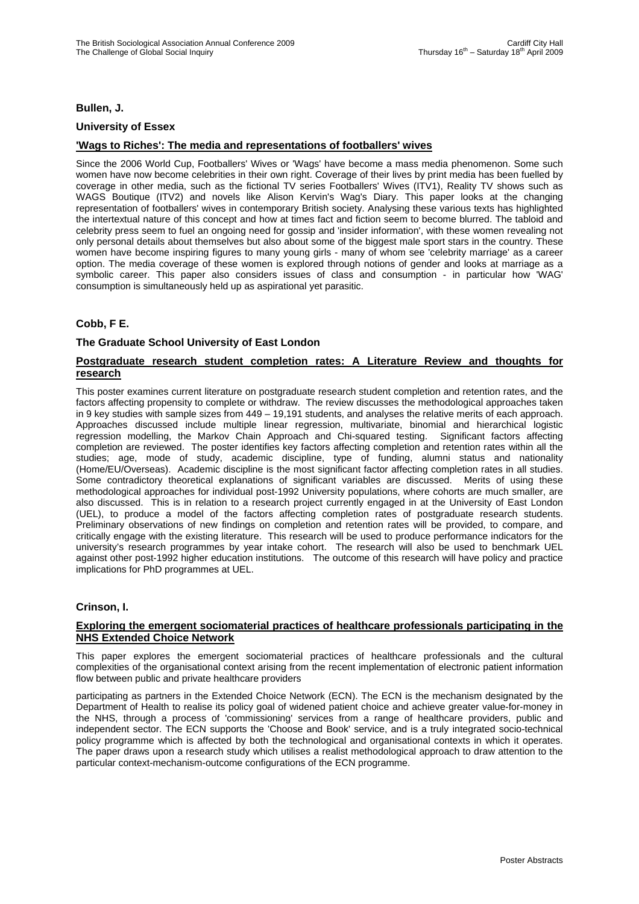## **Bullen, J.**

#### **University of Essex**

## **'Wags to Riches': The media and representations of footballers' wives**

Since the 2006 World Cup, Footballers' Wives or 'Wags' have become a mass media phenomenon. Some such women have now become celebrities in their own right. Coverage of their lives by print media has been fuelled by coverage in other media, such as the fictional TV series Footballers' Wives (ITV1), Reality TV shows such as WAGS Boutique (ITV2) and novels like Alison Kervin's Wag's Diary. This paper looks at the changing representation of footballers' wives in contemporary British society. Analysing these various texts has highlighted the intertextual nature of this concept and how at times fact and fiction seem to become blurred. The tabloid and celebrity press seem to fuel an ongoing need for gossip and 'insider information', with these women revealing not only personal details about themselves but also about some of the biggest male sport stars in the country. These women have become inspiring figures to many young girls - many of whom see 'celebrity marriage' as a career option. The media coverage of these women is explored through notions of gender and looks at marriage as a symbolic career. This paper also considers issues of class and consumption - in particular how 'WAG' consumption is simultaneously held up as aspirational yet parasitic.

## **Cobb, F E.**

#### **The Graduate School University of East London**

## **Postgraduate research student completion rates: A Literature Review and thoughts for research**

This poster examines current literature on postgraduate research student completion and retention rates, and the factors affecting propensity to complete or withdraw. The review discusses the methodological approaches taken in 9 key studies with sample sizes from 449 – 19,191 students, and analyses the relative merits of each approach. Approaches discussed include multiple linear regression, multivariate, binomial and hierarchical logistic regression modelling, the Markov Chain Approach and Chi-squared testing. Significant factors affecting completion are reviewed. The poster identifies key factors affecting completion and retention rates within all the studies; age, mode of study, academic discipline, type of funding, alumni status and nationality (Home/EU/Overseas). Academic discipline is the most significant factor affecting completion rates in all studies. Some contradictory theoretical explanations of significant variables are discussed. Merits of using these methodological approaches for individual post-1992 University populations, where cohorts are much smaller, are also discussed. This is in relation to a research project currently engaged in at the University of East London (UEL), to produce a model of the factors affecting completion rates of postgraduate research students. Preliminary observations of new findings on completion and retention rates will be provided, to compare, and critically engage with the existing literature. This research will be used to produce performance indicators for the university's research programmes by year intake cohort. The research will also be used to benchmark UEL against other post-1992 higher education institutions. The outcome of this research will have policy and practice implications for PhD programmes at UEL.

#### **Crinson, I.**

#### **Exploring the emergent sociomaterial practices of healthcare professionals participating in the NHS Extended Choice Network**

This paper explores the emergent sociomaterial practices of healthcare professionals and the cultural complexities of the organisational context arising from the recent implementation of electronic patient information flow between public and private healthcare providers

participating as partners in the Extended Choice Network (ECN). The ECN is the mechanism designated by the Department of Health to realise its policy goal of widened patient choice and achieve greater value-for-money in the NHS, through a process of 'commissioning' services from a range of healthcare providers, public and independent sector. The ECN supports the 'Choose and Book' service, and is a truly integrated socio-technical policy programme which is affected by both the technological and organisational contexts in which it operates. The paper draws upon a research study which utilises a realist methodological approach to draw attention to the particular context-mechanism-outcome configurations of the ECN programme.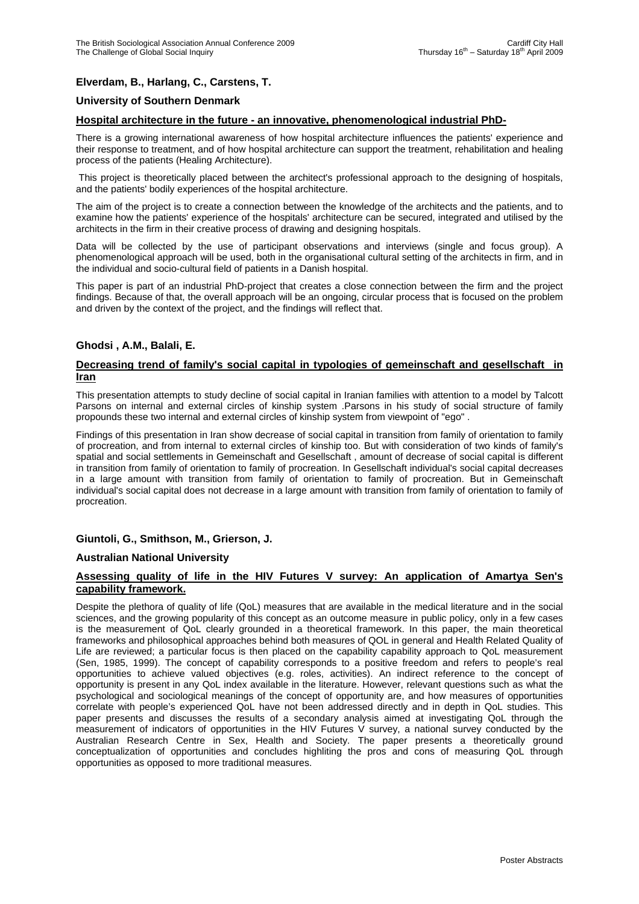# **Elverdam, B., Harlang, C., Carstens, T.**

## **University of Southern Denmark**

#### **Hospital architecture in the future - an innovative, phenomenological industrial PhD-**

There is a growing international awareness of how hospital architecture influences the patients' experience and their response to treatment, and of how hospital architecture can support the treatment, rehabilitation and healing process of the patients (Healing Architecture).

 This project is theoretically placed between the architect's professional approach to the designing of hospitals, and the patients' bodily experiences of the hospital architecture.

The aim of the project is to create a connection between the knowledge of the architects and the patients, and to examine how the patients' experience of the hospitals' architecture can be secured, integrated and utilised by the architects in the firm in their creative process of drawing and designing hospitals.

Data will be collected by the use of participant observations and interviews (single and focus group). A phenomenological approach will be used, both in the organisational cultural setting of the architects in firm, and in the individual and socio-cultural field of patients in a Danish hospital.

This paper is part of an industrial PhD-project that creates a close connection between the firm and the project findings. Because of that, the overall approach will be an ongoing, circular process that is focused on the problem and driven by the context of the project, and the findings will reflect that.

# **Ghodsi , A.M., Balali, E.**

## **Decreasing trend of family's social capital in typologies of gemeinschaft and gesellschaft in Iran**

This presentation attempts to study decline of social capital in Iranian families with attention to a model by Talcott Parsons on internal and external circles of kinship system .Parsons in his study of social structure of family propounds these two internal and external circles of kinship system from viewpoint of "ego" .

Findings of this presentation in Iran show decrease of social capital in transition from family of orientation to family of procreation, and from internal to external circles of kinship too. But with consideration of two kinds of family's spatial and social settlements in Gemeinschaft and Gesellschaft , amount of decrease of social capital is different in transition from family of orientation to family of procreation. In Gesellschaft individual's social capital decreases in a large amount with transition from family of orientation to family of procreation. But in Gemeinschaft individual's social capital does not decrease in a large amount with transition from family of orientation to family of procreation.

## **Giuntoli, G., Smithson, M., Grierson, J.**

## **Australian National University**

## **Assessing quality of life in the HIV Futures V survey: An application of Amartya Sen's capability framework.**

Despite the plethora of quality of life (QoL) measures that are available in the medical literature and in the social sciences, and the growing popularity of this concept as an outcome measure in public policy, only in a few cases is the measurement of QoL clearly grounded in a theoretical framework. In this paper, the main theoretical frameworks and philosophical approaches behind both measures of QOL in general and Health Related Quality of Life are reviewed; a particular focus is then placed on the capability capability approach to QoL measurement (Sen, 1985, 1999). The concept of capability corresponds to a positive freedom and refers to people's real opportunities to achieve valued objectives (e.g. roles, activities). An indirect reference to the concept of opportunity is present in any QoL index available in the literature. However, relevant questions such as what the psychological and sociological meanings of the concept of opportunity are, and how measures of opportunities correlate with people's experienced QoL have not been addressed directly and in depth in QoL studies. This paper presents and discusses the results of a secondary analysis aimed at investigating QoL through the measurement of indicators of opportunities in the HIV Futures V survey, a national survey conducted by the Australian Research Centre in Sex, Health and Society. The paper presents a theoretically ground conceptualization of opportunities and concludes highliting the pros and cons of measuring QoL through opportunities as opposed to more traditional measures.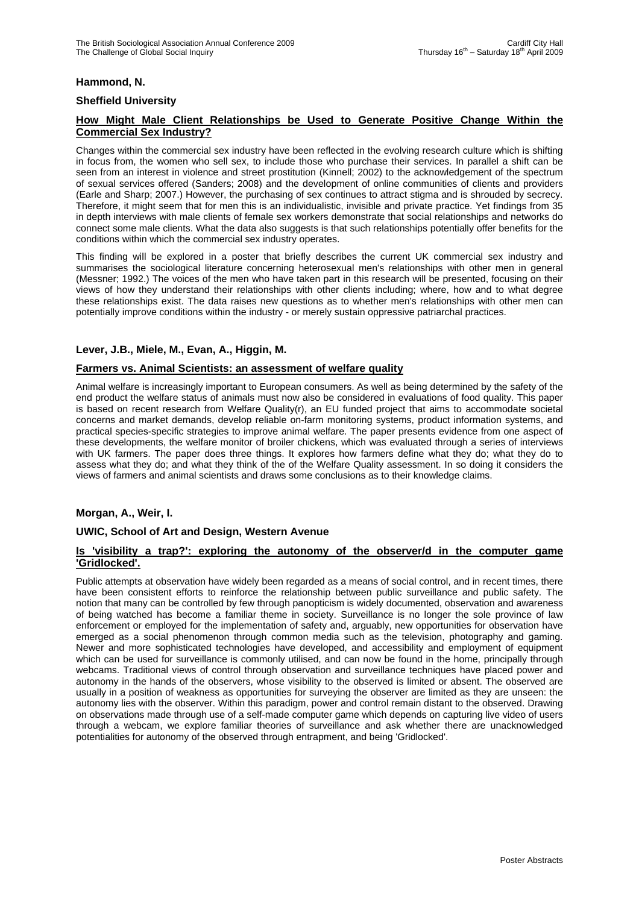# **Hammond, N.**

## **Sheffield University**

# **How Might Male Client Relationships be Used to Generate Positive Change Within the Commercial Sex Industry?**

Changes within the commercial sex industry have been reflected in the evolving research culture which is shifting in focus from, the women who sell sex, to include those who purchase their services. In parallel a shift can be seen from an interest in violence and street prostitution (Kinnell; 2002) to the acknowledgement of the spectrum of sexual services offered (Sanders; 2008) and the development of online communities of clients and providers (Earle and Sharp; 2007.) However, the purchasing of sex continues to attract stigma and is shrouded by secrecy. Therefore, it might seem that for men this is an individualistic, invisible and private practice. Yet findings from 35 in depth interviews with male clients of female sex workers demonstrate that social relationships and networks do connect some male clients. What the data also suggests is that such relationships potentially offer benefits for the conditions within which the commercial sex industry operates.

This finding will be explored in a poster that briefly describes the current UK commercial sex industry and summarises the sociological literature concerning heterosexual men's relationships with other men in general (Messner; 1992.) The voices of the men who have taken part in this research will be presented, focusing on their views of how they understand their relationships with other clients including; where, how and to what degree these relationships exist. The data raises new questions as to whether men's relationships with other men can potentially improve conditions within the industry - or merely sustain oppressive patriarchal practices.

## **Lever, J.B., Miele, M., Evan, A., Higgin, M.**

## **Farmers vs. Animal Scientists: an assessment of welfare quality**

Animal welfare is increasingly important to European consumers. As well as being determined by the safety of the end product the welfare status of animals must now also be considered in evaluations of food quality. This paper is based on recent research from Welfare Quality(r), an EU funded project that aims to accommodate societal concerns and market demands, develop reliable on-farm monitoring systems, product information systems, and practical species-specific strategies to improve animal welfare. The paper presents evidence from one aspect of these developments, the welfare monitor of broiler chickens, which was evaluated through a series of interviews with UK farmers. The paper does three things. It explores how farmers define what they do; what they do to assess what they do; and what they think of the of the Welfare Quality assessment. In so doing it considers the views of farmers and animal scientists and draws some conclusions as to their knowledge claims.

## **Morgan, A., Weir, I.**

## **UWIC, School of Art and Design, Western Avenue**

#### **Is 'visibility a trap?': exploring the autonomy of the observer/d in the computer game 'Gridlocked'.**

Public attempts at observation have widely been regarded as a means of social control, and in recent times, there have been consistent efforts to reinforce the relationship between public surveillance and public safety. The notion that many can be controlled by few through panopticism is widely documented, observation and awareness of being watched has become a familiar theme in society. Surveillance is no longer the sole province of law enforcement or employed for the implementation of safety and, arguably, new opportunities for observation have emerged as a social phenomenon through common media such as the television, photography and gaming. Newer and more sophisticated technologies have developed, and accessibility and employment of equipment which can be used for surveillance is commonly utilised, and can now be found in the home, principally through webcams. Traditional views of control through observation and surveillance techniques have placed power and autonomy in the hands of the observers, whose visibility to the observed is limited or absent. The observed are usually in a position of weakness as opportunities for surveying the observer are limited as they are unseen: the autonomy lies with the observer. Within this paradigm, power and control remain distant to the observed. Drawing on observations made through use of a self-made computer game which depends on capturing live video of users through a webcam, we explore familiar theories of surveillance and ask whether there are unacknowledged potentialities for autonomy of the observed through entrapment, and being 'Gridlocked'.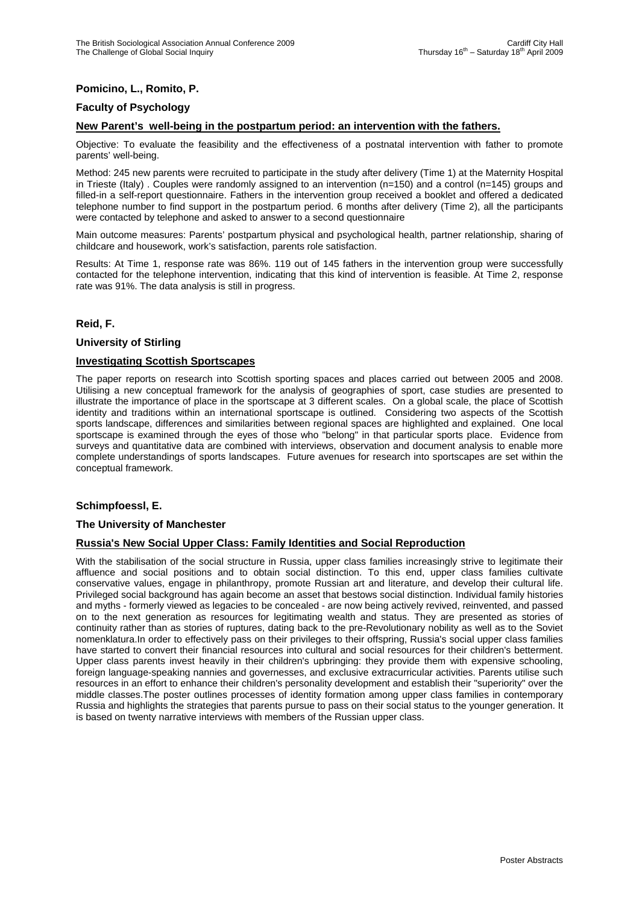# **Pomicino, L., Romito, P.**

# **Faculty of Psychology**

# **New Parent's well-being in the postpartum period: an intervention with the fathers.**

Objective: To evaluate the feasibility and the effectiveness of a postnatal intervention with father to promote parents' well-being.

Method: 245 new parents were recruited to participate in the study after delivery (Time 1) at the Maternity Hospital in Trieste (Italy) . Couples were randomly assigned to an intervention (n=150) and a control (n=145) groups and filled-in a self-report questionnaire. Fathers in the intervention group received a booklet and offered a dedicated telephone number to find support in the postpartum period. 6 months after delivery (Time 2), all the participants were contacted by telephone and asked to answer to a second questionnaire

Main outcome measures: Parents' postpartum physical and psychological health, partner relationship, sharing of childcare and housework, work's satisfaction, parents role satisfaction.

Results: At Time 1, response rate was 86%. 119 out of 145 fathers in the intervention group were successfully contacted for the telephone intervention, indicating that this kind of intervention is feasible. At Time 2, response rate was 91%. The data analysis is still in progress.

#### **Reid, F.**

#### **University of Stirling**

## **Investigating Scottish Sportscapes**

The paper reports on research into Scottish sporting spaces and places carried out between 2005 and 2008. Utilising a new conceptual framework for the analysis of geographies of sport, case studies are presented to illustrate the importance of place in the sportscape at 3 different scales. On a global scale, the place of Scottish identity and traditions within an international sportscape is outlined. Considering two aspects of the Scottish sports landscape, differences and similarities between regional spaces are highlighted and explained. One local sportscape is examined through the eyes of those who "belong" in that particular sports place. Evidence from surveys and quantitative data are combined with interviews, observation and document analysis to enable more complete understandings of sports landscapes. Future avenues for research into sportscapes are set within the conceptual framework.

## **Schimpfoessl, E.**

#### **The University of Manchester**

## **Russia's New Social Upper Class: Family Identities and Social Reproduction**

With the stabilisation of the social structure in Russia, upper class families increasingly strive to legitimate their affluence and social positions and to obtain social distinction. To this end, upper class families cultivate conservative values, engage in philanthropy, promote Russian art and literature, and develop their cultural life. Privileged social background has again become an asset that bestows social distinction. Individual family histories and myths - formerly viewed as legacies to be concealed - are now being actively revived, reinvented, and passed on to the next generation as resources for legitimating wealth and status. They are presented as stories of continuity rather than as stories of ruptures, dating back to the pre-Revolutionary nobility as well as to the Soviet nomenklatura.In order to effectively pass on their privileges to their offspring, Russia's social upper class families have started to convert their financial resources into cultural and social resources for their children's betterment. Upper class parents invest heavily in their children's upbringing: they provide them with expensive schooling, foreign language-speaking nannies and governesses, and exclusive extracurricular activities. Parents utilise such resources in an effort to enhance their children's personality development and establish their "superiority" over the middle classes.The poster outlines processes of identity formation among upper class families in contemporary Russia and highlights the strategies that parents pursue to pass on their social status to the younger generation. It is based on twenty narrative interviews with members of the Russian upper class.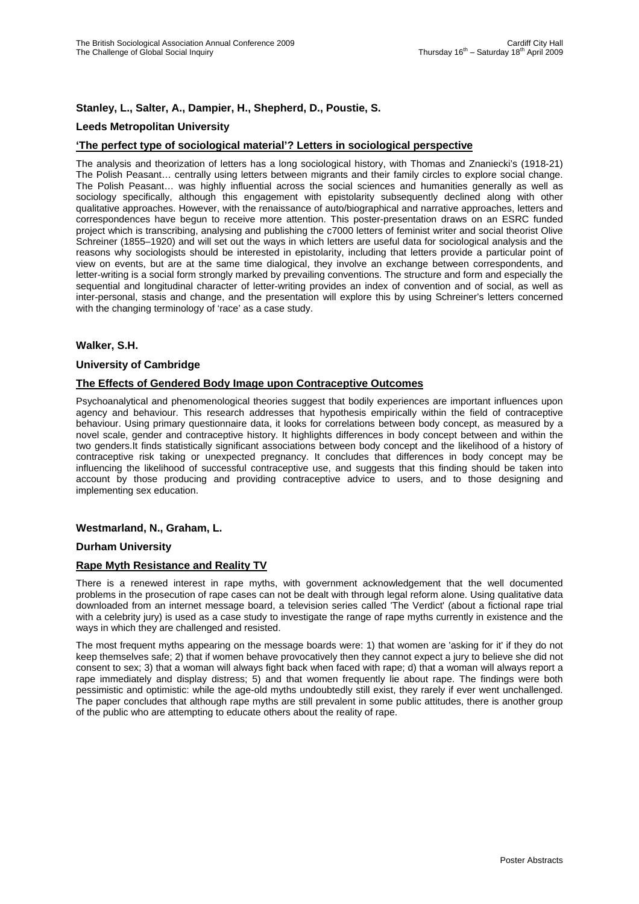# **Stanley, L., Salter, A., Dampier, H., Shepherd, D., Poustie, S.**

## **Leeds Metropolitan University**

## **'The perfect type of sociological material'? Letters in sociological perspective**

The analysis and theorization of letters has a long sociological history, with Thomas and Znaniecki's (1918-21) The Polish Peasant… centrally using letters between migrants and their family circles to explore social change. The Polish Peasant… was highly influential across the social sciences and humanities generally as well as sociology specifically, although this engagement with epistolarity subsequently declined along with other qualitative approaches. However, with the renaissance of auto/biographical and narrative approaches, letters and correspondences have begun to receive more attention. This poster-presentation draws on an ESRC funded project which is transcribing, analysing and publishing the c7000 letters of feminist writer and social theorist Olive Schreiner (1855–1920) and will set out the ways in which letters are useful data for sociological analysis and the reasons why sociologists should be interested in epistolarity, including that letters provide a particular point of view on events, but are at the same time dialogical, they involve an exchange between correspondents, and letter-writing is a social form strongly marked by prevailing conventions. The structure and form and especially the sequential and longitudinal character of letter-writing provides an index of convention and of social, as well as inter-personal, stasis and change, and the presentation will explore this by using Schreiner's letters concerned with the changing terminology of 'race' as a case study.

#### **Walker, S.H.**

#### **University of Cambridge**

#### **The Effects of Gendered Body Image upon Contraceptive Outcomes**

Psychoanalytical and phenomenological theories suggest that bodily experiences are important influences upon agency and behaviour. This research addresses that hypothesis empirically within the field of contraceptive behaviour. Using primary questionnaire data, it looks for correlations between body concept, as measured by a novel scale, gender and contraceptive history. It highlights differences in body concept between and within the two genders.It finds statistically significant associations between body concept and the likelihood of a history of contraceptive risk taking or unexpected pregnancy. It concludes that differences in body concept may be influencing the likelihood of successful contraceptive use, and suggests that this finding should be taken into account by those producing and providing contraceptive advice to users, and to those designing and implementing sex education.

#### **Westmarland, N., Graham, L.**

#### **Durham University**

#### **Rape Myth Resistance and Reality TV**

There is a renewed interest in rape myths, with government acknowledgement that the well documented problems in the prosecution of rape cases can not be dealt with through legal reform alone. Using qualitative data downloaded from an internet message board, a television series called 'The Verdict' (about a fictional rape trial with a celebrity jury) is used as a case study to investigate the range of rape myths currently in existence and the ways in which they are challenged and resisted.

The most frequent myths appearing on the message boards were: 1) that women are 'asking for it' if they do not keep themselves safe; 2) that if women behave provocatively then they cannot expect a jury to believe she did not consent to sex; 3) that a woman will always fight back when faced with rape; d) that a woman will always report a rape immediately and display distress; 5) and that women frequently lie about rape. The findings were both pessimistic and optimistic: while the age-old myths undoubtedly still exist, they rarely if ever went unchallenged. The paper concludes that although rape myths are still prevalent in some public attitudes, there is another group of the public who are attempting to educate others about the reality of rape.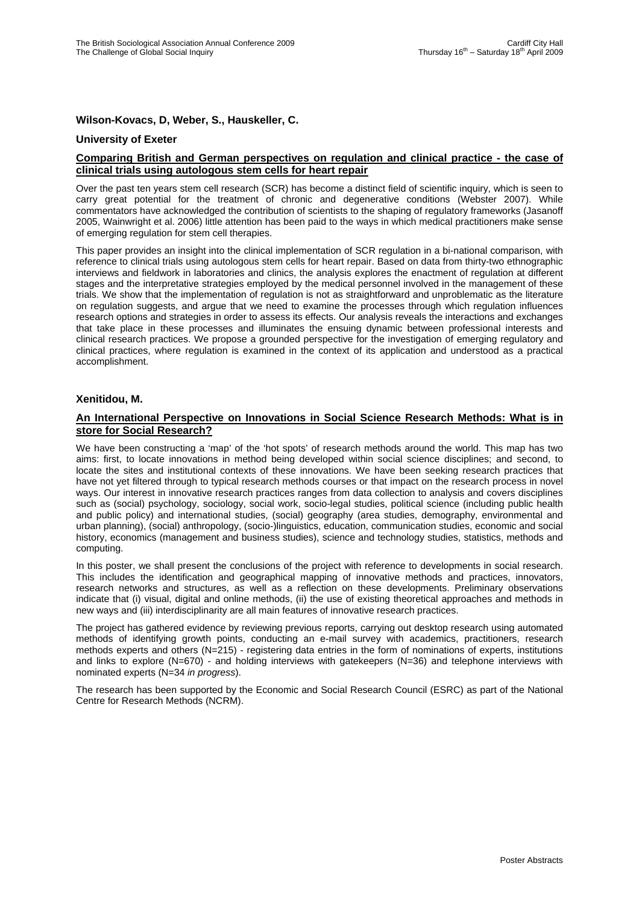## **Wilson-Kovacs, D, Weber, S., Hauskeller, C.**

#### **University of Exeter**

## **Comparing British and German perspectives on regulation and clinical practice - the case of clinical trials using autologous stem cells for heart repair**

Over the past ten years stem cell research (SCR) has become a distinct field of scientific inquiry, which is seen to carry great potential for the treatment of chronic and degenerative conditions (Webster 2007). While commentators have acknowledged the contribution of scientists to the shaping of regulatory frameworks (Jasanoff 2005, Wainwright et al. 2006) little attention has been paid to the ways in which medical practitioners make sense of emerging regulation for stem cell therapies.

This paper provides an insight into the clinical implementation of SCR regulation in a bi-national comparison, with reference to clinical trials using autologous stem cells for heart repair. Based on data from thirty-two ethnographic interviews and fieldwork in laboratories and clinics, the analysis explores the enactment of regulation at different stages and the interpretative strategies employed by the medical personnel involved in the management of these trials. We show that the implementation of regulation is not as straightforward and unproblematic as the literature on regulation suggests, and argue that we need to examine the processes through which regulation influences research options and strategies in order to assess its effects. Our analysis reveals the interactions and exchanges that take place in these processes and illuminates the ensuing dynamic between professional interests and clinical research practices. We propose a grounded perspective for the investigation of emerging regulatory and clinical practices, where regulation is examined in the context of its application and understood as a practical accomplishment.

#### **Xenitidou, M.**

## **An International Perspective on Innovations in Social Science Research Methods: What is in store for Social Research?**

We have been constructing a 'map' of the 'hot spots' of research methods around the world. This map has two aims: first, to locate innovations in method being developed within social science disciplines; and second, to locate the sites and institutional contexts of these innovations. We have been seeking research practices that have not yet filtered through to typical research methods courses or that impact on the research process in novel ways. Our interest in innovative research practices ranges from data collection to analysis and covers disciplines such as (social) psychology, sociology, social work, socio-legal studies, political science (including public health and public policy) and international studies, (social) geography (area studies, demography, environmental and urban planning), (social) anthropology, (socio-)linguistics, education, communication studies, economic and social history, economics (management and business studies), science and technology studies, statistics, methods and computing.

In this poster, we shall present the conclusions of the project with reference to developments in social research. This includes the identification and geographical mapping of innovative methods and practices, innovators, research networks and structures, as well as a reflection on these developments. Preliminary observations indicate that (i) visual, digital and online methods, (ii) the use of existing theoretical approaches and methods in new ways and (iii) interdisciplinarity are all main features of innovative research practices.

The project has gathered evidence by reviewing previous reports, carrying out desktop research using automated methods of identifying growth points, conducting an e-mail survey with academics, practitioners, research methods experts and others (N=215) - registering data entries in the form of nominations of experts, institutions and links to explore (N=670) - and holding interviews with gatekeepers (N=36) and telephone interviews with nominated experts (N=34 *in progress*).

The research has been supported by the Economic and Social Research Council (ESRC) as part of the National Centre for Research Methods (NCRM).